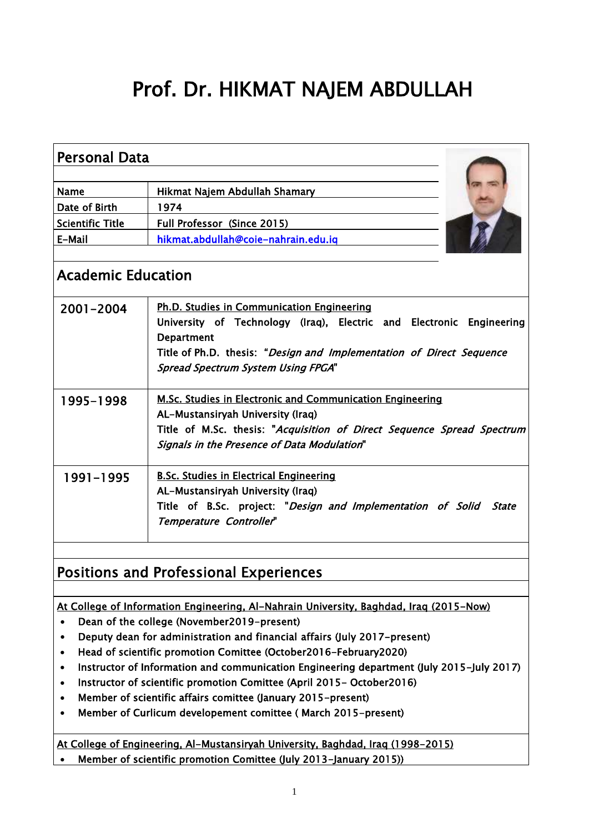# Prof. Dr. HIKMAT NAJEM ABDULLAH

| <b>Personal Data</b>      |                                                                                                                                                                                                                                                              |  |  |  |
|---------------------------|--------------------------------------------------------------------------------------------------------------------------------------------------------------------------------------------------------------------------------------------------------------|--|--|--|
| <b>Name</b>               | Hikmat Najem Abdullah Shamary                                                                                                                                                                                                                                |  |  |  |
| Date of Birth             | 1974                                                                                                                                                                                                                                                         |  |  |  |
| <b>Scientific Title</b>   | Full Professor (Since 2015)                                                                                                                                                                                                                                  |  |  |  |
| E-Mail                    | hikmat.abdullah@coie-nahrain.edu.iq                                                                                                                                                                                                                          |  |  |  |
| <b>Academic Education</b> |                                                                                                                                                                                                                                                              |  |  |  |
| 2001-2004                 | Ph.D. Studies in Communication Engineering<br>University of Technology (Iraq), Electric and Electronic Engineering<br><b>Department</b><br>Title of Ph.D. thesis: "Design and Implementation of Direct Sequence<br><b>Spread Spectrum System Using FPGA"</b> |  |  |  |
| 1995-1998                 | <b>M.Sc. Studies in Electronic and Communication Engineering</b><br>AL-Mustansiryah University (Iraq)<br>Title of M.Sc. thesis: "Acquisition of Direct Sequence Spread Spectrum<br>Signals in the Presence of Data Modulation"                               |  |  |  |
| 1991-1995                 | <b>B.Sc. Studies in Electrical Engineering</b><br>AL-Mustansiryah University (Iraq)<br>Title of B.Sc. project: "Design and Implementation of Solid<br><b>State</b><br>Temperature Controller"                                                                |  |  |  |
|                           |                                                                                                                                                                                                                                                              |  |  |  |

## Positions and Professional Experiences

At College of Information Engineering, Al-Nahrain University, Baghdad, Iraq (2015-Now)

- Dean of the college (November2019-present)
- Deputy dean for administration and financial affairs (July 2017-present)
- Head of scientific promotion Comittee (October2016-February2020)
- Instructor of Information and communication Engineering department (July 2015-July 2017)
- Instructor of scientific promotion Comittee (April 2015- October2016)
- Member of scientific affairs comittee (January 2015-present)
- Member of Curlicum developement comittee ( March 2015-present)

At College of Engineering, Al-Mustansiryah University, Baghdad, Iraq (1998-2015)

Member of scientific promotion Comittee (July 2013-January 2015))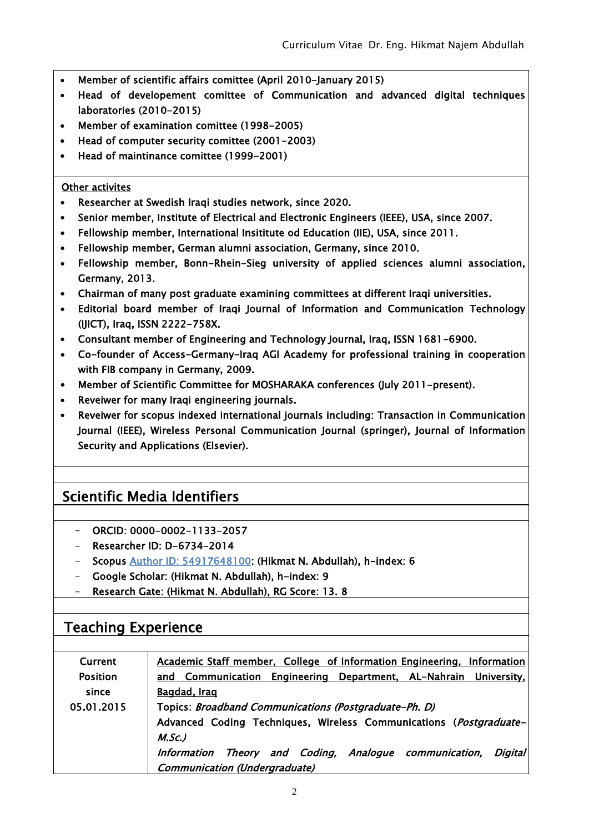- Member of scientific affairs comittee (April 2010-January 2015)
- Head of developement comittee of Communication and advanced digital techniques laboratories (2010-2015)
- Member of examination comittee (1998-2005)
- Head of computer security comittee (2001-2003)
- Head of maintinance comittee (1999-2001)

#### Other activites

- Researcher at Swedish Iraqi studies network, since 2020.
- Senior member, Institute of Electrical and Electronic Engineers (IEEE), USA, since 2007.
- Fellowship member, International Insititute od Education (IIE), USA, since 2011.
- Fellowship member, German alumni association, Germany, since 2010.
- Fellowship member, Bonn-Rhein-Sieg university of applied sciences alumni association, Germany, 2013.
- Chairman of many post graduate examining committees at different Iraqi universities.
- Editorial board member of Iraqi Journal of Information and Communication Technology (IJICT), Iraq, ISSN 2222-758X.
- Consultant member of Engineering and Technology Journal, Iraq, ISSN 1681-6900.
- Co-founder of Access-Germany-Iraq AGI Academy for professional training in cooperation with FIB company in Germany, 2009.
- Member of Scientific Committee for MOSHARAKA conferences (July 2011-present).
- Reveiwer for many Iraqi engineering journals.
- Reveiwer for scopus indexed international journals including: Transaction in Communication Journal (IEEE), Wireless Personal Communication Journal (springer), Journal of Information Security and Applications (Elsevier).

## Scientific Media Identifiers

- ORCID: 0000-0002-1133-2057
- Researcher ID: D-6734-2014
- Scopus [Author ID: 54917648100:](https://www.scopus.com/authid/detail.uri?authorId=54917648100) (Hikmat N. Abdullah), h-index: 6
- Google Scholar: (Hikmat N. Abdullah), h-index: 9
- Research Gate: (Hikmat N. Abdullah), RG Score: 13. 8

#### Teaching Experience

| <b>Current</b>  | Academic Staff member, College of Information Engineering, Information |  |  |  |  |
|-----------------|------------------------------------------------------------------------|--|--|--|--|
| <b>Position</b> | and Communication Engineering Department, AL-Nahrain University,       |  |  |  |  |
| since           | Bagdad, Iraq                                                           |  |  |  |  |
| 05.01.2015      | Topics: Broadband Communications (Postgraduate-Ph. D)                  |  |  |  |  |
|                 | Advanced Coding Techniques, Wireless Communications (Postgraduate-     |  |  |  |  |
|                 | $M.SC.$ )                                                              |  |  |  |  |
|                 | Information Theory and Coding, Analogue communication,<br>Digital      |  |  |  |  |
|                 | <b>Communication (Undergraduate)</b>                                   |  |  |  |  |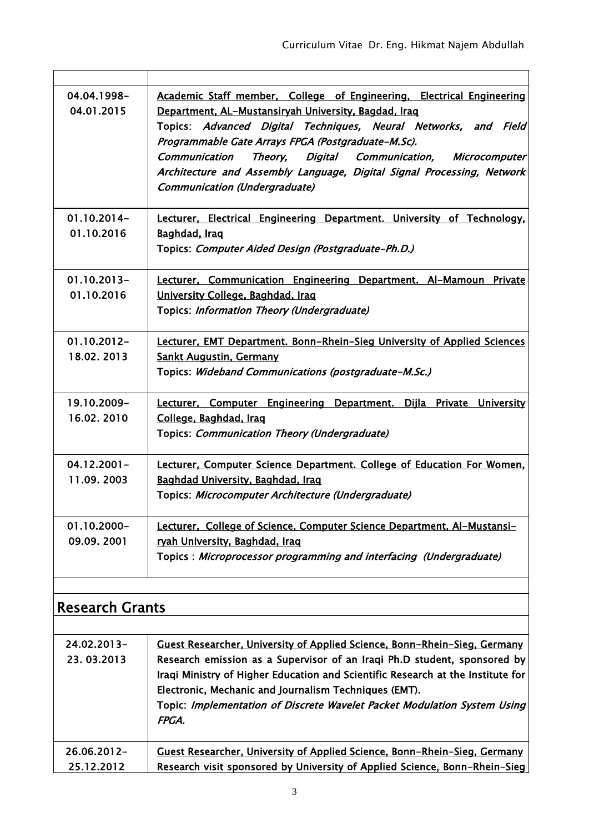| 04.04.1998-<br>04.01.2015    | Academic Staff member, College of Engineering, Electrical Engineering<br>Department, AL-Mustansiryah University, Bagdad, Iraq<br>Topics: Advanced Digital Techniques, Neural Networks, and Field<br>Programmable Gate Arrays FPGA (Postgraduate-M.Sc).<br><b>Communication</b><br>Theory,<br>Digital Communication, Microcomputer<br>Architecture and Assembly Language, Digital Signal Processing, Network<br>Communication (Undergraduate) |  |  |  |  |
|------------------------------|----------------------------------------------------------------------------------------------------------------------------------------------------------------------------------------------------------------------------------------------------------------------------------------------------------------------------------------------------------------------------------------------------------------------------------------------|--|--|--|--|
| 01.10.2014-<br>01.10.2016    | <b>Lecturer, Electrical Engineering Department. University of Technology,</b><br>Baghdad, Iraq<br>Topics: Computer Aided Design (Postgraduate-Ph.D.)                                                                                                                                                                                                                                                                                         |  |  |  |  |
| $01.10.2013 -$<br>01.10.2016 | Lecturer, Communication Engineering Department. Al-Mamoun Private<br>University College, Baghdad, Iraq<br>Topics: Information Theory (Undergraduate)                                                                                                                                                                                                                                                                                         |  |  |  |  |
| $01.10.2012 -$<br>18.02.2013 | <b>Lecturer, EMT Department. Bonn-Rhein-Sieg University of Applied Sciences</b><br><b>Sankt Augustin, Germany</b><br>Topics: Wideband Communications (postgraduate-M.Sc.)                                                                                                                                                                                                                                                                    |  |  |  |  |
| 19.10.2009-<br>16.02.2010    | Lecturer, Computer Engineering Department. Dijla Private University<br>College, Baghdad, Iraq<br>Topics: Communication Theory (Undergraduate)                                                                                                                                                                                                                                                                                                |  |  |  |  |
| $04.12.2001 -$<br>11.09.2003 | <b>Lecturer, Computer Science Department. College of Education For Women.</b><br>Baghdad University, Baghdad, Iraq<br>Topics: Microcomputer Architecture (Undergraduate)                                                                                                                                                                                                                                                                     |  |  |  |  |
| 01.10.2000-<br>09.09.2001    | Lecturer, College of Science, Computer Science Department, Al-Mustansi-<br>ryah University, Baghdad, Iraq<br>Topics: Microprocessor programming and interfacing (Undergraduate)                                                                                                                                                                                                                                                              |  |  |  |  |

| ייכטניכונים ומוונט        |                                                                                                                                                                                                                                                                                                                                                                                               |  |
|---------------------------|-----------------------------------------------------------------------------------------------------------------------------------------------------------------------------------------------------------------------------------------------------------------------------------------------------------------------------------------------------------------------------------------------|--|
|                           |                                                                                                                                                                                                                                                                                                                                                                                               |  |
| 24.02.2013-<br>23.03.2013 | <b>Guest Researcher, University of Applied Science, Bonn-Rhein-Sieg, Germany</b><br>Research emission as a Supervisor of an Iraqi Ph.D student, sponsored by<br>Iraqi Ministry of Higher Education and Scientific Research at the Institute for<br>Electronic, Mechanic and Journalism Techniques (EMT).<br>Topic: Implementation of Discrete Wavelet Packet Modulation System Using<br>FPGA. |  |
| 26.06.2012-               | Guest Researcher, University of Applied Science, Bonn-Rhein-Sieg, Germany                                                                                                                                                                                                                                                                                                                     |  |
| 25.12.2012                | Research visit sponsored by University of Applied Science, Bonn-Rhein-Sieg                                                                                                                                                                                                                                                                                                                    |  |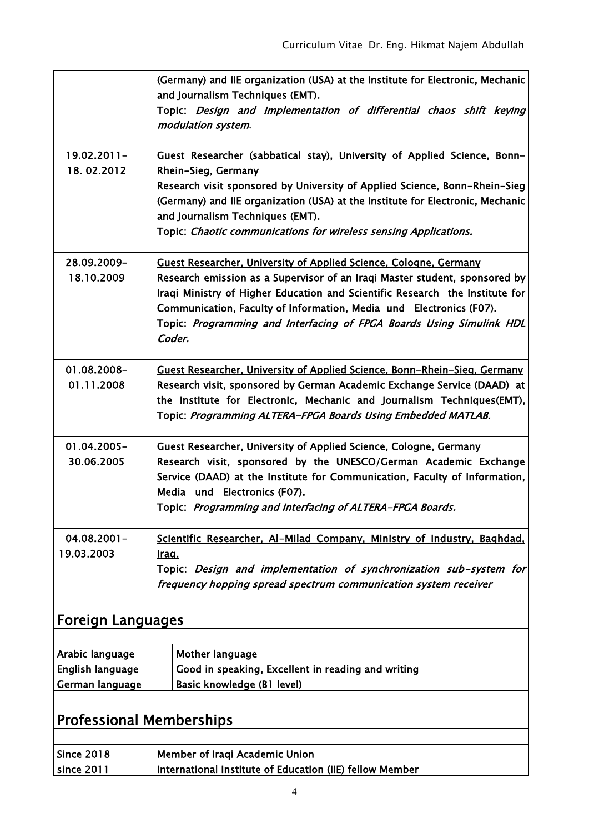|                                                        | (Germany) and IIE organization (USA) at the Institute for Electronic, Mechanic<br>and Journalism Techniques (EMT).<br>Topic: Design and Implementation of differential chaos shift keying<br>modulation system.                                                                                                                                                                          |  |  |  |
|--------------------------------------------------------|------------------------------------------------------------------------------------------------------------------------------------------------------------------------------------------------------------------------------------------------------------------------------------------------------------------------------------------------------------------------------------------|--|--|--|
| $19.02.2011 -$<br>18.02.2012                           | Guest Researcher (sabbatical stay), University of Applied Science, Bonn-<br>Rhein-Sieg, Germany<br>Research visit sponsored by University of Applied Science, Bonn-Rhein-Sieg<br>(Germany) and IIE organization (USA) at the Institute for Electronic, Mechanic<br>and Journalism Techniques (EMT).<br>Topic: Chaotic communications for wireless sensing Applications.                  |  |  |  |
| 28.09.2009-<br>18.10.2009                              | Guest Researcher, University of Applied Science, Cologne, Germany<br>Research emission as a Supervisor of an Iraqi Master student, sponsored by<br>Iraqi Ministry of Higher Education and Scientific Research the Institute for<br>Communication, Faculty of Information, Media und Electronics (F07).<br>Topic: Programming and Interfacing of FPGA Boards Using Simulink HDL<br>Coder. |  |  |  |
| 01.08.2008-<br>01.11.2008                              | Guest Researcher, University of Applied Science, Bonn-Rhein-Sieg, Germany<br>Research visit, sponsored by German Academic Exchange Service (DAAD) at<br>the Institute for Electronic, Mechanic and Journalism Techniques(EMT),<br>Topic: Programming ALTERA-FPGA Boards Using Embedded MATLAB.                                                                                           |  |  |  |
| 01.04.2005-<br>30.06.2005                              | Guest Researcher, University of Applied Science, Cologne, Germany<br>Research visit, sponsored by the UNESCO/German Academic Exchange<br>Service (DAAD) at the Institute for Communication, Faculty of Information,<br>Media und Electronics (F07).<br>Topic: Programming and Interfacing of ALTERA-FPGA Boards.                                                                         |  |  |  |
| $04.08.2001 -$<br>19.03.2003                           | Scientific Researcher, Al-Milad Company, Ministry of Industry, Baghdad,<br>Iraq.<br>Topic: Design and implementation of synchronization sub-system for<br>frequency hopping spread spectrum communication system receiver                                                                                                                                                                |  |  |  |
| <b>Foreign Languages</b>                               |                                                                                                                                                                                                                                                                                                                                                                                          |  |  |  |
| Arabic language<br>English language<br>German language | Mother language<br>Good in speaking, Excellent in reading and writing<br>Basic knowledge (B1 level)                                                                                                                                                                                                                                                                                      |  |  |  |
|                                                        |                                                                                                                                                                                                                                                                                                                                                                                          |  |  |  |

# Professional Memberships

| Since 2018 | Member of Iraqi Academic Union                           |
|------------|----------------------------------------------------------|
| since 2011 | International Institute of Education (IIE) fellow Member |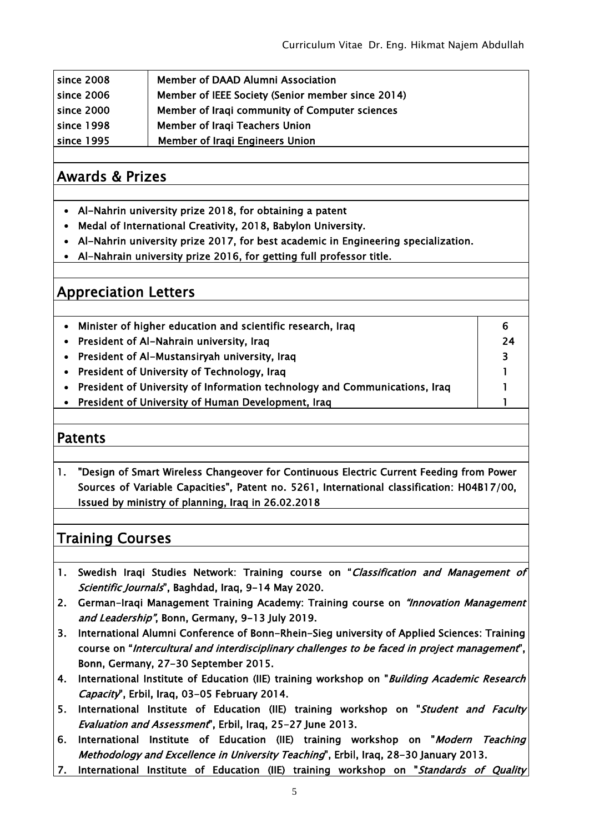| since 2008 | Member of DAAD Alumni Association                 |
|------------|---------------------------------------------------|
| since 2006 | Member of IEEE Society (Senior member since 2014) |
| since 2000 | Member of Iraqi community of Computer sciences    |
| since 1998 | Member of Iraqi Teachers Union                    |
| since 1995 | <b>Member of Iragi Engineers Union</b>            |

## Awards & Prizes

- Al-Nahrin university prize 2018, for obtaining a patent
- Medal of International Creativity, 2018, Babylon University.
- Al-Nahrin university prize 2017, for best academic in Engineering specialization.
- Al-Nahrain university prize 2016, for getting full professor title.

#### Appreciation Letters

| Minister of higher education and scientific research, Iraq                   | 6  |
|------------------------------------------------------------------------------|----|
| • President of Al-Nahrain university, Iraq                                   | 24 |
| • President of Al-Mustansiryah university, Iraq                              | 2  |
| • President of University of Technology, Iraq                                |    |
| • President of University of Information technology and Communications, Iraq |    |
| • President of University of Human Development, Iraq                         |    |

#### Patents

1. "Design of Smart Wireless Changeover for Continuous Electric Current Feeding from Power Sources of Variable Capacities", Patent no. 5261, International classification: H04B17/00, Issued by ministry of planning, Iraq in 26.02.2018

## Training Courses

- 1. Swedish Iraqi Studies Network: Training course on "Classification and Management of Scientific Journals", Baghdad, Iraq, 9-14 May 2020.
- 2. German-Iraqi Management Training Academy: Training course on *"Innovation Management* and Leadership", Bonn, Germany, 9-13 July 2019.
- 3. International Alumni Conference of Bonn-Rhein-Sieg university of Applied Sciences: Training course on "Intercultural and interdisciplinary challenges to be faced in project management", Bonn, Germany, 27-30 September 2015.
- 4. International Institute of Education (IIE) training workshop on "Building Academic Research Capacity", Erbil, Iraq, 03-05 February 2014.
- 5. International Institute of Education (IIE) training workshop on "Student and Faculty Evaluation and Assessment", Erbil, Iraq, 25-27 June 2013.
- 6. International Institute of Education (IIE) training workshop on "Modern Teaching Methodology and Excellence in University Teaching", Erbil, Iraq, 28-30 January 2013.
- 7. International Institute of Education (IIE) training workshop on "Standards of Quality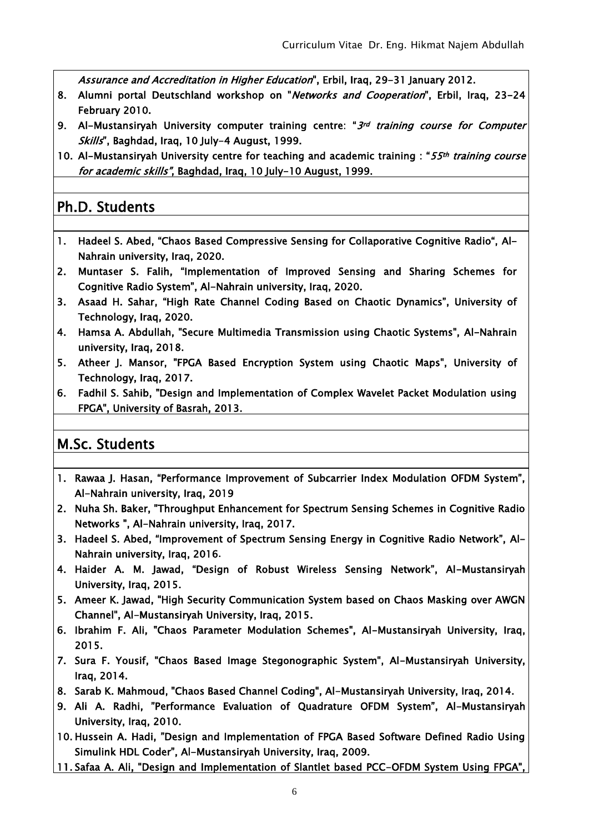Assurance and Accreditation in Higher Education", Erbil, Iraq, 29-31 January 2012.

- 8. Alumni portal Deutschland workshop on "Networks and Cooperation", Erbil, Iraq, 23-24 February 2010.
- 9. Al-Mustansiryah University computer training centre: "3rd training course for Computer Skills", Baghdad, Iraq, 10 July-4 August, 1999.
- 10. Al-Mustansiryah University centre for teaching and academic training : "55th training course for academic skills", Baghdad, Iraq, 10 July-10 August, 1999.

## Ph.D. Students

- 1. Hadeel S. Abed, "Chaos Based Compressive Sensing for Collaporative Cognitive Radio", Al-Nahrain university, Iraq, 2020.
- 2. Muntaser S. Falih, "Implementation of Improved Sensing and Sharing Schemes for Cognitive Radio System", Al-Nahrain university, Iraq, 2020.
- 3. Asaad H. Sahar, "High Rate Channel Coding Based on Chaotic Dynamics", University of Technology, Iraq, 2020.
- 4. Hamsa A. Abdullah, "Secure Multimedia Transmission using Chaotic Systems", Al-Nahrain university, Iraq, 2018.
- 5. Atheer J. Mansor, "FPGA Based Encryption System using Chaotic Maps", University of Technology, Iraq, 2017.
- 6. Fadhil S. Sahib, "Design and Implementation of Complex Wavelet Packet Modulation using FPGA", University of Basrah, 2013.

## M.Sc. Students

- 1. Rawaa J. Hasan, "Performance Improvement of Subcarrier Index Modulation OFDM System", Al-Nahrain university, Iraq, 2019
- 2. Nuha Sh. Baker, "Throughput Enhancement for Spectrum Sensing Schemes in Cognitive Radio Networks ", Al-Nahrain university, Iraq, 2017.
- 3. Hadeel S. Abed, "Improvement of Spectrum Sensing Energy in Cognitive Radio Network", Al-Nahrain university, Iraq, 2016**.**
- 4. Haider A. M. Jawad, "Design of Robust Wireless Sensing Network", Al-Mustansiryah University, Iraq, 2015.
- 5. Ameer K. Jawad, "High Security Communication System based on Chaos Masking over AWGN Channel", Al-Mustansiryah University, Iraq, 2015.
- 6. Ibrahim F. Ali, "Chaos Parameter Modulation Schemes", Al-Mustansiryah University, Iraq, 2015.
- 7. Sura F. Yousif, "Chaos Based Image Stegonographic System", Al-Mustansiryah University, Iraq, 2014.
- 8. Sarab K. Mahmoud, "Chaos Based Channel Coding", Al-Mustansiryah University, Iraq, 2014.
- 9. Ali A. Radhi, "Performance Evaluation of Quadrature OFDM System", Al-Mustansiryah University, Iraq, 2010.
- 10. Hussein A. Hadi, "Design and Implementation of FPGA Based Software Defined Radio Using Simulink HDL Coder", Al-Mustansiryah University, Iraq, 2009.
- 11. Safaa A. Ali, "Design and Implementation of Slantlet based PCC-OFDM System Using FPGA",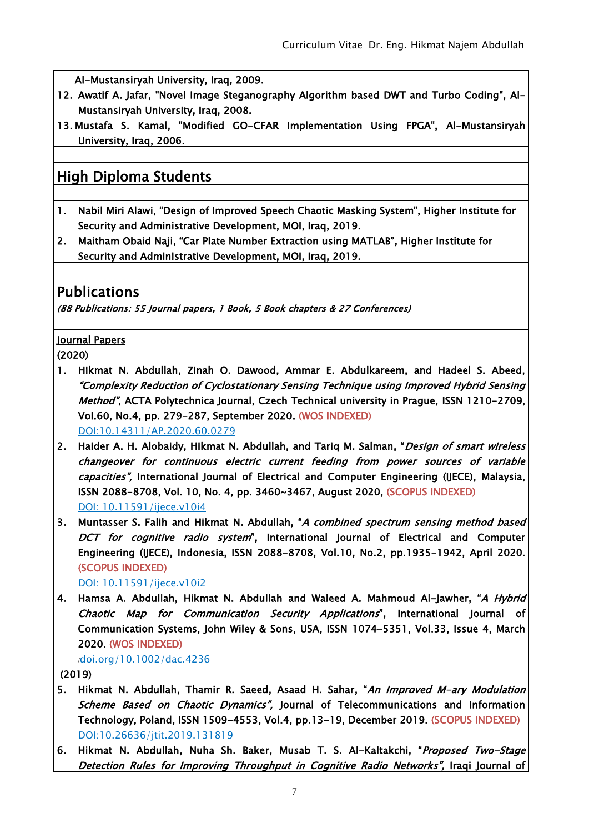Al-Mustansiryah University, Iraq, 2009.

- 12. Awatif A. Jafar, "Novel Image Steganography Algorithm based DWT and Turbo Coding", Al-Mustansiryah University, Iraq, 2008.
- 13. Mustafa S. Kamal, "Modified GO-CFAR Implementation Using FPGA", Al-Mustansiryah University, Iraq, 2006.

## High Diploma Students

- 1. Nabil Miri Alawi, "Design of Improved Speech Chaotic Masking System", Higher Institute for Security and Administrative Development, MOI, Iraq, 2019.
- 2. Maitham Obaid Naji, "Car Plate Number Extraction using MATLAB", Higher Institute for Security and Administrative Development, MOI, Iraq, 2019.

#### Publications

(88 Publications: 55 Journal papers, 1 Book, 5 Book chapters & 27 Conferences)

#### Journal Papers

(2020)

- 1. Hikmat N. Abdullah, Zinah O. Dawood, Ammar E. Abdulkareem, and Hadeel S. Abeed, "Complexity Reduction of Cyclostationary Sensing Technique using Improved Hybrid Sensing Method", ACTA Polytechnica Journal, Czech Technical university in Prague, ISSN 1210-2709, Vol.60, No.4, pp. 279-287, September 2020. (WOS INDEXED) DOI:10.14311/AP.2020.60.0279
- 2. Haider A. H. Alobaidy, Hikmat N. Abdullah, and Tariq M. Salman, *"Design of smart wireless* changeover for continuous electric current feeding from power sources of variable capacities", International Journal of Electrical and Computer Engineering (IJECE), Malaysia, ISSN 2088-8708, Vol. 10, No. 4, pp. 3460~3467, August 2020, (SCOPUS INDEXED) DOI: 10.11591/ijece.v10i4
- 3. Muntasser S. Falih and Hikmat N. Abdullah, "A combined spectrum sensing method based DCT for cognitive radio system", International Journal of Electrical and Computer Engineering (IJECE), Indonesia, ISSN 2088-8708, Vol.10, No.2, pp.1935-1942, April 2020. (SCOPUS INDEXED)

DOI: 10.11591/ijece.v10i2

4. Hamsa A. Abdullah, Hikmat N. Abdullah and Waleed A. Mahmoud Al-Jawher, "A Hybrid Chaotic Map for Communication Security Applications", International Journal of Communication Systems, John Wiley & Sons, USA, ISSN 1074-5351, Vol.33, Issue 4, March 2020. (WOS INDEXED)

#### /doi.org/10.1002/dac.4236

(2019)

- 5. Hikmat N. Abdullah, Thamir R. Saeed, Asaad H. Sahar, "An Improved M-ary Modulation Scheme Based on Chaotic Dynamics", Journal of Telecommunications and Information Technology, Poland, ISSN 1509-4553, Vol.4, pp.13-19, December 2019. (SCOPUS INDEXED) [DOI:10.26636/jtit.2019.131819](https://doi.org/10.26636/jtit.2019.131819)
- 6. Hikmat N. Abdullah, Nuha Sh. Baker, Musab T. S. Al-Kaltakchi, "Proposed Two-Stage Detection Rules for Improving Throughput in Cognitive Radio Networks", Iraqi Journal of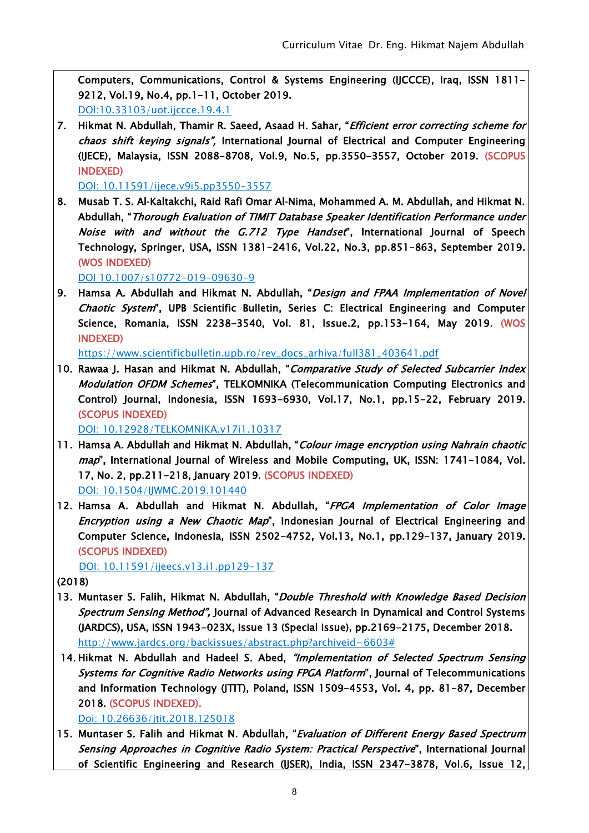Computers, Communications, Control & Systems Engineering (IJCCCE), Iraq, ISSN 1811- 9212, Vol.19, No.4, pp.1-11, October 2019. DOI:10.33103/uot.ijccce.19.4.1

7. Hikmat N. Abdullah, Thamir R. Saeed, Asaad H. Sahar, "Efficient error correcting scheme for chaos shift keying signals", International Journal of Electrical and Computer Engineering (IJECE), Malaysia, ISSN 2088-8708, Vol.9, No.5, pp.3550-3557, October 2019. (SCOPUS INDEXED)

DOI: 10.11591/ijece.v9i5.pp3550-3557

8. Musab T. S. Al-Kaltakchi, Raid Rafi Omar Al-Nima, Mohammed A. M. Abdullah, and Hikmat N. Abdullah, "Thorough Evaluation of TIMIT Database Speaker Identification Performance under Noise with and without the G.712 Type Handset", International Journal of Speech Technology, Springer, USA, ISSN 1381-2416, Vol.22, No.3, pp.851-863, September 2019. (WOS INDEXED)

DOI 10.1007/s10772-019-09630-9

9. Hamsa A. Abdullah and Hikmat N. Abdullah, "Design and FPAA Implementation of Novel Chaotic System", UPB Scientific Bulletin, Series C: Electrical Engineering and Computer Science, Romania, ISSN 2238-3540, Vol. 81, Issue.2, pp.153-164, May 2019. (WOS INDEXED)

https://www.scientificbulletin.upb.ro/rev\_docs\_arhiva/full381\_403641.pdf

10. Rawaa J. Hasan and Hikmat N. Abdullah, "Comparative Study of Selected Subcarrier Index Modulation OFDM Schemes", TELKOMNIKA (Telecommunication Computing Electronics and Control) Journal, Indonesia, ISSN 1693-6930, Vol.17, No.1, pp.15-22, February 2019. (SCOPUS INDEXED)

DOI: 10.12928/TELKOMNIKA.v17i1.10317

- 11. Hamsa A. Abdullah and Hikmat N. Abdullah, "Colour image encryption using Nahrain chaotic map", International Journal of Wireless and Mobile Computing, UK, ISSN: 1741-1084, Vol. 17, No. 2, pp.211-218, January 2019. (SCOPUS INDEXED) [DOI: 10.1504/IJWMC.2019.101440](https://doi.org/10.1504/IJWMC.2019.101440)
- 12. Hamsa A. Abdullah and Hikmat N. Abdullah, "FPGA Implementation of Color Image Encryption using a New Chaotic Map", Indonesian Journal of Electrical Engineering and Computer Science, Indonesia, ISSN 2502-4752, Vol.13, No.1, pp.129-137, January 2019. (SCOPUS INDEXED)

DOI: 10.11591/ijeecs.v13.i1.pp129-137

(2018)

- 13. Muntaser S. Falih, Hikmat N. Abdullah, "Double Threshold with Knowledge Based Decision Spectrum Sensing Method", Journal of Advanced Research in Dynamical and Control Systems (JARDCS), USA, ISSN 1943-023X, Issue 13 (Special Issue), pp.2169-2175, December 2018. http://www.jardcs.org/backissues/abstract.php?archiveid=6603#
- 14. Hikmat N. Abdullah and Hadeel S. Abed, *"Implementation of Selected Spectrum Sensing* [Systems for Cognitive Radio Networks using FPGA Platform](https://www.itl.waw.pl/czasopisma/JTIT/2018/4/81.pdf)", Journal of Telecommunications and Information Technology (JTIT), Poland, ISSN 1509-4553, Vol. 4, pp. 81-87, December 2018. (SCOPUS INDEXED).

Doi: 10.26636/jtit.2018.125018

15. Muntaser S. Falih and Hikmat N. Abdullah, "Evaluation of Different Energy Based Spectrum Sensing Approaches in Cognitive Radio System: Practical Perspective", International Journal of Scientific Engineering and Research (IJSER), India, ISSN 2347-3878, Vol.6, Issue 12,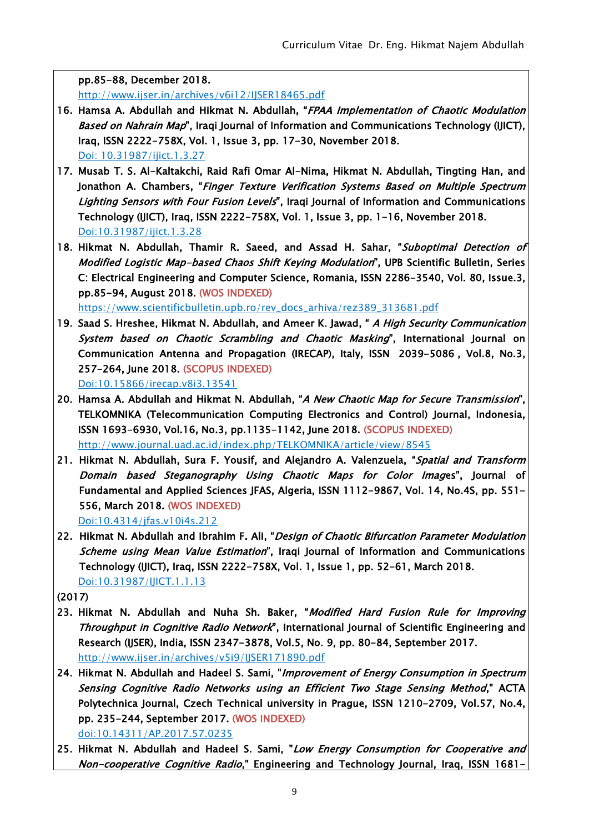pp.85-88, December 2018.

http://www.ijser.in/archives/v6i12/IJSER18465.pdf

- 16. Hamsa A. Abdullah and Hikmat N. Abdullah, "FPAA Implementation of Chaotic Modulation Based on Nahrain Map", Iraqi Journal of Information and Communications Technology (IJICT), Iraq, ISSN 2222-758X, Vol. 1, Issue 3, pp. 17-30, November 2018. [Doi: 10.31987/ijict.1.3.27](https://doi.org/10.31987/ijict.1.3.27)
- 17. Musab T. S. Al-Kaltakchi, Raid Rafi Omar Al-Nima, Hikmat N. Abdullah, Tingting Han, and Jonathon A. Chambers, "Finger Texture Verification Systems Based on Multiple Spectrum Lighting Sensors with Four Fusion Levels", Iraqi Journal of Information and Communications Technology (IJICT), Iraq, ISSN 2222-758X, Vol. 1, Issue 3, pp. 1-16, November 2018. Doi:10.31987/ijict.1.3.28
- 18. Hikmat N. Abdullah, Thamir R. Saeed, and Assad H. Sahar, "Suboptimal Detection of Modified Logistic Map-based Chaos Shift Keying Modulation", UPB Scientific Bulletin, Series C: Electrical Engineering and Computer Science, Romania, ISSN 2286-3540, Vol. 80, Issue.3, pp.85-94, August 2018. (WOS INDEXED)

https://www.scientificbulletin.upb.ro/rev\_docs\_arhiva/rez389\_313681.pdf

- 19. Saad S. Hreshee, Hikmat N. Abdullah, and Ameer K. Jawad, " A High Security Communication System based on Chaotic Scrambling and Chaotic Masking", International Journal on Communication Antenna and Propagation (IRECAP), Italy, ISSN 2039-5086 , Vol.8, No.3, 257-264, June 2018. (SCOPUS INDEXED) Doi:10.15866/irecap.v8i3.13541
- 20. Hamsa A. Abdullah and Hikmat N. Abdullah, "A New Chaotic Map for Secure Transmission", TELKOMNIKA (Telecommunication Computing Electronics and Control) Journal, Indonesia, ISSN 1693-6930, Vol.16, No.3, pp.1135-1142, June 2018. (SCOPUS INDEXED) <http://www.journal.uad.ac.id/index.php/TELKOMNIKA/article/view/8545>
- 21. Hikmat N. Abdullah, Sura F. Yousif, and Alejandro A. Valenzuela, "Spatial and Transform Domain based Steganography Using Chaotic Maps for Color Images", Journal of Fundamental and Applied Sciences JFAS, Algeria, ISSN 1112-9867, Vol. 14, No.4S, pp. 551- 556, March 2018. (WOS INDEXED) Doi:10.4314/jfas.v10i4s.212
- 22. Hikmat N. Abdullah and Ibrahim F. Ali, "Design of Chaotic Bifurcation Parameter Modulation Scheme using Mean Value Estimation", Iraqi Journal of Information and Communications Technology (IJICT), Iraq, ISSN 2222-758X, Vol. 1, Issue 1, pp. 52-61, March 2018. Doi:10.31987/IJICT.1.1.13

(2017)

- 23. Hikmat N. Abdullah and Nuha Sh. Baker, "Modified Hard Fusion Rule for Improving Throughput in Cognitive Radio Network", International Journal of Scientific Engineering and Research (IJSER), India, ISSN 2347-3878, Vol.5, No. 9, pp. 80-84, September 2017. http://www.ijser.in/archives/v5i9/IJSER171890.pdf
- 24. Hikmat N. Abdullah and Hadeel S. Sami, "Improvement of Energy Consumption in Spectrum Sensing Cognitive Radio Networks using an Efficient Two Stage Sensing Method," ACTA Polytechnica Journal, Czech Technical university in Prague, ISSN 1210-2709, Vol.57, No.4, pp. 235-244, September 2017. (WOS INDEXED) doi:10.14311/AP.2017.57.0235
- 25. Hikmat N. Abdullah and Hadeel S. Sami, "Low Energy Consumption for Cooperative and Non-cooperative Cognitive Radio," Engineering and Technology Journal, Iraq, ISSN 1681-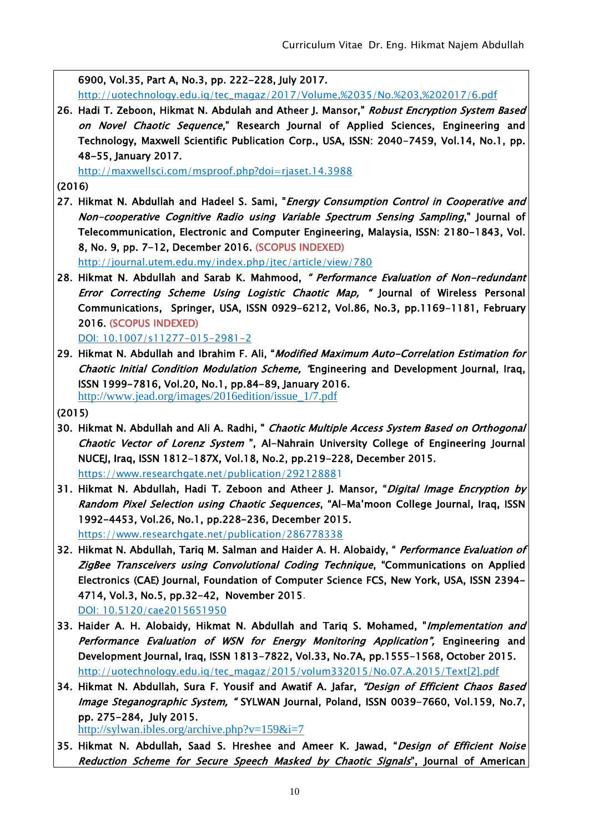6900, Vol.35, Part A, No.3, pp. 222-228, July 2017.

http://uotechnology.edu.iq/tec\_magaz/2017/Volume,%2035/No.%203,%202017/6.pdf

26. Hadi T. Zeboon, Hikmat N. Abdulah and Atheer J. Mansor," Robust Encryption System Based on Novel Chaotic Sequence," Research Journal of Applied Sciences, Engineering and Technology, Maxwell Scientific Publication Corp., USA, ISSN: 2040-7459, Vol.14, No.1, pp. 48-55, January 2017.

<http://maxwellsci.com/msproof.php?doi=rjaset.14.3988>

(2016)

27. Hikmat N. Abdullah and Hadeel S. Sami, "*Energy Consumption Control in Cooperative and* Non-cooperative Cognitive Radio using Variable Spectrum Sensing Sampling," Journal of Telecommunication, Electronic and Computer Engineering, Malaysia, ISSN: 2180-1843, Vol. 8, No. 9, pp. 7-12, December 2016. (SCOPUS INDEXED)

http://journal.utem.edu.my/index.php/jtec/article/view/780

28. Hikmat N. Abdullah and Sarab K. Mahmood, " Performance Evaluation of Non-redundant Error Correcting Scheme Using Logistic Chaotic Map, " Journal of Wireless Personal Communications, Springer, USA, ISSN 0929-6212, Vol.86, No.3, pp.1169-1181, February 2016. (SCOPUS INDEXED)

DOI: 10.1007/s11277-015-2981-2

- 29. Hikmat N. Abdullah and Ibrahim F. Ali, "Modified Maximum Auto-Correlation Estimation for Chaotic Initial Condition Modulation Scheme, "Engineering and Development Journal, Iraq, ISSN 1999-7816, Vol.20, No.1, pp.84-89, January 2016. [http://www.jead.org/images/2016edition/issue\\_1/7.pdf](http://www.jead.org/images/2016edition/issue_1/7.pdf)
- (2015)
- 30. Hikmat N. Abdullah and Ali A. Radhi, " Chaotic Multiple Access System Based on Orthogonal Chaotic Vector of Lorenz System ", Al-Nahrain University College of Engineering Journal NUCEJ, Iraq, ISSN 1812-187X, Vol.18, No.2, pp.219-228, December 2015. <https://www.researchgate.net/publication/292128881>
- 31. Hikmat N. Abdullah, Hadi T. Zeboon and Atheer J. Mansor, "Digital Image Encryption by Random Pixel Selection using Chaotic Sequences, "Al-Ma'moon College Journal, Iraq, ISSN 1992-4453, Vol.26, No.1, pp.228-236, December 2015. <https://www.researchgate.net/publication/286778338>
- 32. Hikmat N. Abdullah, Tariq M. Salman and Haider A. H. Alobaidy, " Performance Evaluation of ZigBee Transceivers using Convolutional Coding Technique, "Communications on Applied Electronics (CAE) Journal, Foundation of Computer Science FCS, New York, USA, ISSN 2394- 4714, Vol.3, No.5, pp.32-42, November 2015. DOI: 10.5120/cae2015651950
- 33. Haider A. H. Alobaidy, Hikmat N. Abdullah and Tariq S. Mohamed, "Implementation and Performance Evaluation of WSN for Energy Monitoring Application", Engineering and Development Journal, Iraq, ISSN 1813-7822, Vol.33, No.7A, pp.1555-1568, October 2015. http://uotechnology.edu.iq/tec\_magaz/2015/volum332015/No.07.A.2015/Text[2].pdf
- 34. Hikmat N. Abdullah, Sura F. Yousif and Awatif A. Jafar, "Design of Efficient Chaos Based Image Steganographic System, " SYLWAN Journal, Poland, ISSN 0039-7660, Vol.159, No.7, pp. 275-284, July 2015.

http://sylwan.ibles.org/archive.php?v=159&i=7

35. Hikmat N. Abdullah, Saad S. Hreshee and Ameer K. Jawad, "Design of Efficient Noise Reduction Scheme for Secure Speech Masked by Chaotic Signals", Journal of American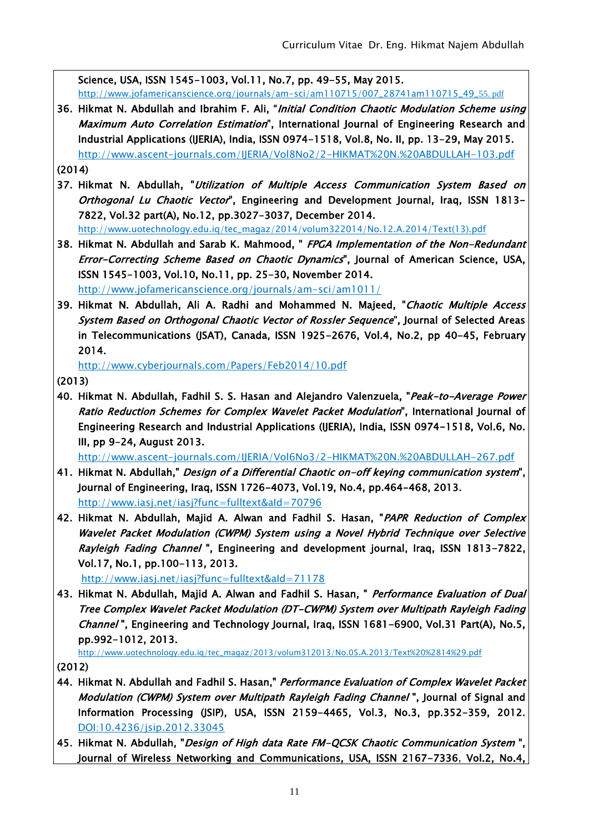Science, USA, ISSN 1545-1003, Vol.11, No.7, pp. 49-55, May 2015.

[http://www.jofamericanscience.org/journals/am-sci/am110715/007\\_28741am110715\\_49\\_](http://www.jofamericanscience.org/journals/am-sci/am110715/007_28741am110715_49_)55. pdf

- 36. Hikmat N. Abdullah and Ibrahim F. Ali, "Initial Condition Chaotic Modulation Scheme using Maximum Auto Correlation Estimation", International Journal of Engineering Research and Industrial Applications (IJERIA), India, ISSN 0974-1518, Vol.8, No. II, pp. 13-29, May 2015. <http://www.ascent-journals.com/IJERIA/Vol8No2/2-HIKMAT%20N.%20ABDULLAH-103.pdf>
- (2014)
- 37. Hikmat N. Abdullah, "Utilization of Multiple Access Communication System Based on Orthogonal Lu Chaotic Vector", Engineering and Development Journal, Iraq, ISSN 1813-7822, Vol.32 part(A), No.12, pp.3027-3037, December 2014. http://www.uotechnology.edu.iq/tec\_magaz/2014/volum322014/No.12.A.2014/Text(13).pdf
- 38. Hikmat N. Abdullah and Sarab K. Mahmood, " FPGA Implementation of the Non-Redundant Error-Correcting Scheme Based on Chaotic Dynamics", Journal of American Science, USA, ISSN 1545-1003, Vol.10, No.11, pp. 25-30, November 2014. http://www.jofamericanscience.org/journals/am-sci/am1011/
- 39. Hikmat N. Abdullah, Ali A. Radhi and Mohammed N. Majeed, "Chaotic Multiple Access System Based on Orthogonal Chaotic Vector of Rossler Sequence", Journal of Selected Areas in Telecommunications (JSAT), Canada, ISSN 1925-2676, Vol.4, No.2, pp 40-45, February 2014.

<http://www.cyberjournals.com/Papers/Feb2014/10.pdf>

- (2013)
- 40. Hikmat N. Abdullah, Fadhil S. S. Hasan and Alejandro Valenzuela, "Peak-to-Average Power Ratio Reduction Schemes for Complex Wavelet Packet Modulation", International Journal of Engineering Research and Industrial Applications (IJERIA), India, ISSN 0974-1518, Vol.6, No. III, pp 9-24, August 2013.

http://www.ascent-journals.com/IJERIA/Vol6No3/2-HIKMAT%20N.%20ABDULLAH-267.pdf

- 41. Hikmat N. Abdullah," Design of a Differential Chaotic on-off keying communication system", Journal of Engineering, Iraq, ISSN 1726-4073, Vol.19, No.4, pp.464-468, 2013. <http://www.iasj.net/iasj?func=fulltext&aId=70796>
- 42. Hikmat N. Abdullah, Majid A. Alwan and Fadhil S. Hasan, "PAPR Reduction of Complex Wavelet Packet Modulation (CWPM) System using a Novel Hybrid Technique over Selective Rayleigh Fading Channel ", Engineering and development journal, Iraq, ISSN 1813-7822, Vol.17, No.1, pp.100-113, 2013.

http://www.iasj.net/iasj?func=fulltext&aId=71178

43. Hikmat N. Abdullah, Majid A. Alwan and Fadhil S. Hasan, " Performance Evaluation of Dual Tree Complex Wavelet Packet Modulation (DT-CWPM) System over Multipath Rayleigh Fading Channel ", Engineering and Technology Journal, Iraq, ISSN 1681-6900, Vol.31 Part(A), No.5, pp.992-1012, 2013.

[http://www.uotechnology.edu.iq/tec\\_magaz/2013/volum312013/No.05.A.2013/Text%20%2814%29.pdf](http://www.uotechnology.edu.iq/tec_magaz/2013/volum312013/No.05.A.2013/Text%20%2814%29.pdf)

(2012)

- 44. Hikmat N. Abdullah and Fadhil S. Hasan," Performance Evaluation of Complex Wavelet Packet Modulation (CWPM) System over Multipath Rayleigh Fading Channel ", Journal of Signal and Information Processing (JSIP), USA, ISSN 2159-4465, Vol.3, No.3, pp.352-359, 2012. DOI:10.4236/jsip.2012.33045
- 45. Hikmat N. Abdullah, "[Design of High data Rate FM-QCSK Chaotic Communication System](http://article.sapub.org/10.5923.j.jwnc.20120204.04.html)", Journal of Wireless Networking and Communications, USA, ISSN 2167-7336, Vol.2, No.4,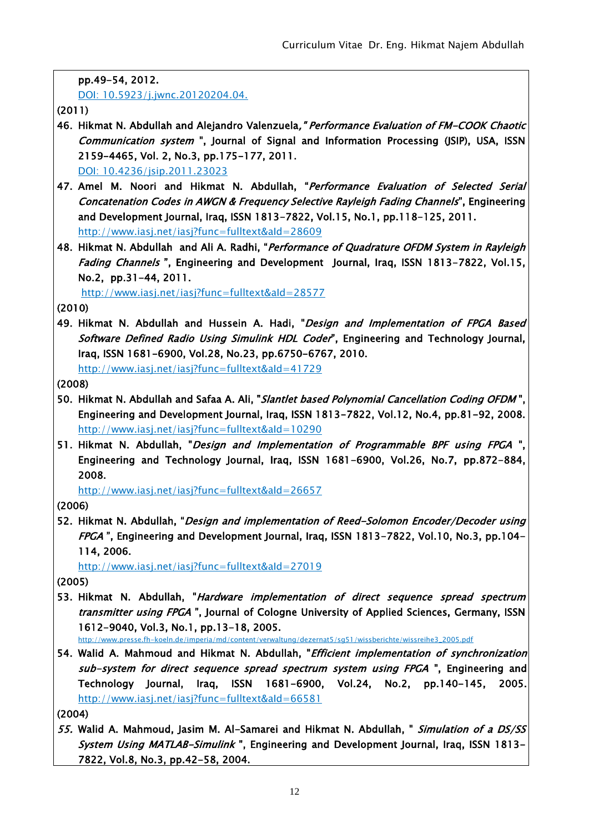|  |  |  | pp.49-54, 2012. |  |
|--|--|--|-----------------|--|
|--|--|--|-----------------|--|

DOI: 10.5923/j.jwnc.20120204.04.

(2011)

- 46. Hikmat N. Abdullah and Alejandro Valenzuela," Performance Evaluation of FM-COOK Chaotic Communication system ", Journal of Signal and Information Processing (JSIP), USA, ISSN 2159-4465, Vol. 2, No.3, pp.175-177, 2011. DOI: [10.4236/jsip.2011.23023](http://dx.doi.org/10.4236/jsip.2011.23023)
- 47. Amel M. Noori and Hikmat N. Abdullah, "Performance Evaluation of Selected Serial Concatenation Codes in AWGN & Frequency Selective Rayleigh Fading Channels", Engineering and Development Journal, Iraq, ISSN 1813-7822, Vol.15, No.1, pp.118-125, 2011.

http://www.iasj.net/iasj?func=fulltext&aId=28609

48. Hikmat N. Abdullah and Ali A. Radhi, "Performance of Quadrature OFDM System in Rayleigh Fading Channels", Engineering and Development Journal, Iraq, ISSN 1813-7822, Vol.15, No.2, pp.31-44, 2011.

<http://www.iasj.net/iasj?func=fulltext&aId=28577>

(2010)

49. Hikmat N. Abdullah and Hussein A. Hadi, "Design and Implementation of FPGA Based Software Defined Radio Using Simulink HDL Coder", Engineering and Technology Journal, Iraq, ISSN 1681-6900, Vol.28, No.23, pp.6750-6767, 2010. http://www.iasj.net/iasj?func=fulltext&aId=41729

(2008)

- 50. Hikmat N. Abdullah and Safaa A. Ali, "Slantlet based Polynomial Cancellation Coding OFDM ", Engineering and Development Journal, Iraq, ISSN 1813-7822, Vol.12, No.4, pp.81-92, 2008. http://www.iasj.net/iasj?func=fulltext&aId=10290
- 51. Hikmat N. Abdullah, "Design and Implementation of Programmable BPF using FPGA", Engineering and Technology Journal, Iraq, ISSN 1681-6900, Vol.26, No.7, pp.872-884, 2008.

<http://www.iasj.net/iasj?func=fulltext&aId=26657>

(2006)

52. Hikmat N. Abdullah, "Design and implementation of Reed-Solomon Encoder/Decoder using FPGA ", Engineering and Development Journal, Iraq, ISSN 1813-7822, Vol.10, No.3, pp.104- 114, 2006.

<http://www.iasj.net/iasj?func=fulltext&aId=27019>

(2005)

53. Hikmat N. Abdullah, "Hardware implementation of direct sequence spread spectrum transmitter using FPGA", Journal of Cologne University of Applied Sciences, Germany, ISSN 1612-9040, Vol.3, No.1, pp.13-18, 2005.

[http://www.presse.fh-koeln.de/imperia/md/content/verwaltung/dezernat5/sg51/wissberichte/wissreihe3\\_2005.pdf](http://www.presse.fh-koeln.de/imperia/md/content/verwaltung/dezernat5/sg51/wissberichte/wissreihe3_2005.pdf)

54. Walid A. Mahmoud and Hikmat N. Abdullah, "*Efficient implementation of synchronization* sub-system for direct sequence spread spectrum system using FPGA ", Engineering and Technology Journal, Iraq, ISSN 1681-6900, Vol.24, No.2, pp.140-145, 2005. <http://www.iasj.net/iasj?func=fulltext&aId=66581>

(2004)

55. Walid A. Mahmoud, Jasim M. Al-Samarei and Hikmat N. Abdullah, " Simulation of a DS/SS System Using MATLAB-Simulink", Engineering and Development Journal, Iraq, ISSN 1813-7822, Vol.8, No.3, pp.42-58, 2004.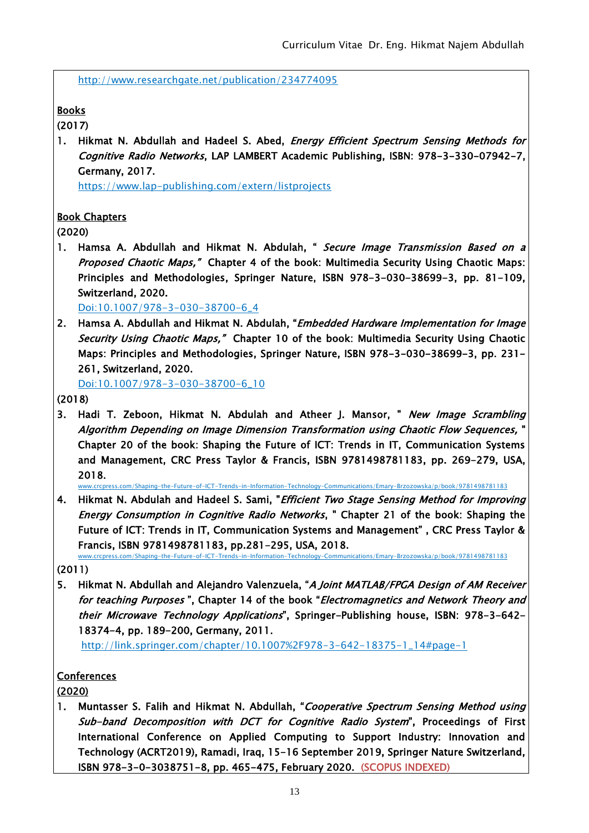http://www.researchgate.net/publication/234774095

**Books** 

(2017)

1. Hikmat N. Abdullah and Hadeel S. Abed, *Energy Efficient Spectrum Sensing Methods for* Cognitive Radio Networks, LAP LAMBERT Academic Publishing, ISBN: 978-3-330-07942-7, Germany, 2017.

https://www.lap-publishing.com/extern/listprojects

#### Book Chapters

(2020)

1. Hamsa A. Abdullah and Hikmat N. Abdulah, " Secure Image Transmission Based on a [Proposed Chaotic Maps](https://link.springer.com/chapter/10.1007/978-3-030-38700-6_4)," Chapter 4 of the book: Multimedia Security Using Chaotic Maps: Principles and Methodologies, Springer Nature, ISBN 978-3-030-38699-3, pp. 81-109, Switzerland, 2020.

Doi:10.1007/978-3-030-38700-6\_4

2. Hamsa A. Abdullah and Hikmat N. Abdulah, "*Embedded Hardware Implementation for Image* [Security Using Chaotic Maps](https://link.springer.com/chapter/10.1007/978-3-030-38700-6_10)," Chapter 10 of the book: Multimedia Security Using Chaotic Maps: Principles and Methodologies, Springer Nature, ISBN 978-3-030-38699-3, pp. 231- 261, Switzerland, 2020.

Doi:10.1007/978-3-030-38700-6\_10

- (2018)
- 3. Hadi T. Zeboon, Hikmat N. Abdulah and Atheer J. Mansor, " New Image Scrambling Algorithm Depending on Image Dimension Transformation using Chaotic Flow Sequences, " Chapter 20 of the book: Shaping the Future of ICT: Trends in IT, Communication Systems and Management, CRC Press Taylor & Francis, ISBN 9781498781183, pp. 269-279, USA, 2018.

www.crcpress.com/Shaping-the-Future-of-ICT-Trends-in-Information-Technology-Communications/Emary-Brzozowska/p/book/9781498781183

4. Hikmat N. Abdulah and Hadeel S. Sami, "Efficient Two Stage Sensing Method for Improving Energy Consumption in Cognitive Radio Networks, " Chapter 21 of the book: Shaping the Future of ICT: Trends in IT, Communication Systems and Management" , CRC Press Taylor & Francis, ISBN 9781498781183, pp.281-295, USA, 2018. www.crcpress.com/Shaping-the-Future-of-ICT-Trends-in-Information-Technology-Communications/Emary-Brzozowska/p/book/9781498781183

5. Hikmat N. Abdullah and Alejandro Valenzuela, "A Joint MATLAB/FPGA Design of AM Receiver for teaching Purposes ", Chapter 14 of the book "Electromagnetics and Network Theory and their Microwave Technology Applications", Springer-Publishing house, ISBN: 978-3-642- 18374-4, pp. 189-200, Germany, 2011.

http://link.springer.com/chapter/10.1007%2F978-3-642-18375-1\_14#page-1

**Conferences** 

(2020)

1. Muntasser S. Falih and Hikmat N. Abdullah, "Cooperative Spectrum Sensing Method using Sub-band Decomposition with DCT for Cognitive Radio System", Proceedings of First International Conference on Applied Computing to Support Industry: Innovation and Technology (ACRT2019), Ramadi, Iraq, 15-16 September 2019, Springer Nature Switzerland, ISBN 978-3-0-3038751-8, pp. 465-475, February 2020. (SCOPUS INDEXED)

<sup>(2011)</sup>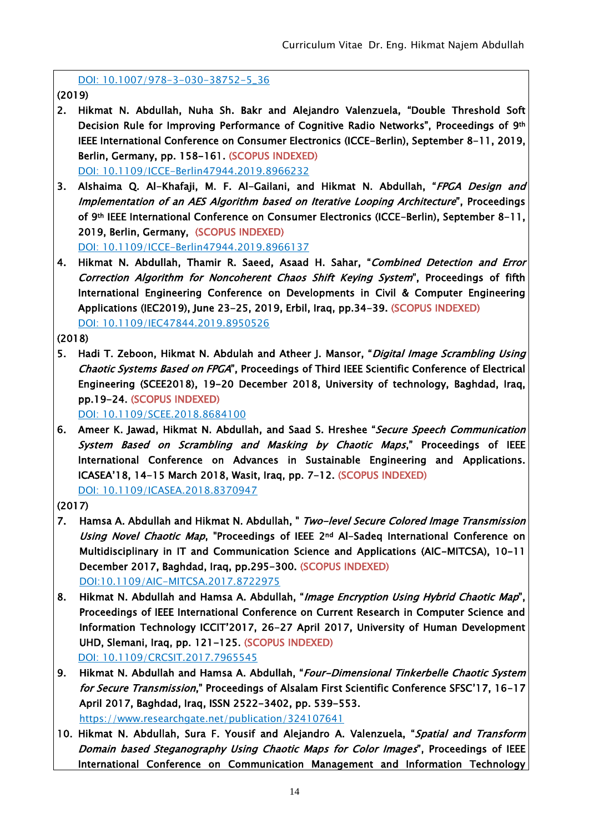DOI: 10.1007/978-3-030-38752-5\_36

(2019)

- 2. Hikmat N. Abdullah, Nuha Sh. Bakr and Alejandro Valenzuela, "Double Threshold Soft Decision Rule for Improving Performance of Cognitive Radio Networks", Proceedings of 9th IEEE International Conference on Consumer Electronics (ICCE-Berlin), September 8-11, 2019, Berlin, Germany, pp. 158-161. (SCOPUS INDEXED) DOI: [10.1109/ICCE-Berlin47944.2019.8966232](https://doi.org/10.1109/ICCE-Berlin47944.2019.8966232)
- 3. Alshaima Q. Al-Khafaji, M. F. Al-Gailani, and Hikmat N. Abdullah, "FPGA Design and Implementation of an AES Algorithm based on Iterative Looping Architecture", Proceedings of 9th IEEE International Conference on Consumer Electronics (ICCE-Berlin), September 8-11, 2019, Berlin, Germany, (SCOPUS INDEXED) DOI: [10.1109/ICCE-Berlin47944.2019.8966137](https://doi.org/10.1109/ICCE-Berlin47944.2019.8966137)
- 4. Hikmat N. Abdullah, Thamir R. Saeed, Asaad H. Sahar, "Combined Detection and Error Correction Algorithm for Noncoherent Chaos Shift Keying System", Proceedings of fifth International Engineering Conference on Developments in Civil & Computer Engineering Applications (IEC2019), June 23-25, 2019, Erbil, Iraq, pp.34-39. (SCOPUS INDEXED) DOI: [10.1109/IEC47844.2019.8950526](https://doi.org/10.1109/IEC47844.2019.8950526)

(2018)

5. Hadi T. Zeboon, Hikmat N. Abdulah and Atheer J. Mansor, "*Digital Image Scrambling Using* Chaotic Systems Based on FPGA", Proceedings of Third IEEE Scientific Conference of Electrical Engineering (SCEE2018), 19-20 December 2018, University of technology, Baghdad, Iraq, pp.19-24. (SCOPUS INDEXED)

DOI: [10.1109/SCEE.2018.8684100](https://doi.org/10.1109/SCEE.2018.8684100)

6. Ameer K. Jawad, Hikmat N. Abdullah, and Saad S. Hreshee "Secure Speech Communication System Based on Scrambling and Masking by Chaotic Maps," Proceedings of IEEE International Conference on Advances in Sustainable Engineering and Applications. ICASEA'18, 14-15 March 2018, Wasit, Iraq, pp. 7-12. (SCOPUS INDEXED) DOI: [10.1109/ICASEA.2018.8370947](https://doi.org/10.1109/ICASEA.2018.8370947)

(2017)

- 7. Hamsa A. Abdullah and Hikmat N. Abdullah, " Two-level Secure Colored Image Transmission Using Novel Chaotic Map, "Proceedings of IEEE 2nd Al-Sadeq International Conference on Multidisciplinary in IT and Communication Science and Applications (AIC-MITCSA), 10-11 December 2017, Baghdad, Iraq, pp.295-300. (SCOPUS INDEXED) DOI[:10.1109/AIC-MITCSA.2017.8722975](https://doi.org/10.1109/AIC-MITCSA.2017.8722975)
- 8. Hikmat N. Abdullah and Hamsa A. Abdullah, "Image Encryption Using Hybrid Chaotic Map", Proceedings of IEEE International Conference on Current Research in Computer Science and Information Technology ICCIT'2017, 26-27 April 2017, University of Human Development UHD, Slemani, Iraq, pp. 121-125. (SCOPUS INDEXED) DOI: [10.1109/CRCSIT.2017.7965545](https://doi.org/10.1109/CRCSIT.2017.7965545)
- 9. Hikmat N. Abdullah and Hamsa A. Abdullah, "Four-Dimensional Tinkerbelle Chaotic System for Secure Transmission," Proceedings of Alsalam First Scientific Conference SFSC'17, 16-17 April 2017, Baghdad, Iraq, ISSN 2522-3402, pp. 539-553. https://www.researchgate.net/publication/324107641
- 10. Hikmat N. Abdullah, Sura F. Yousif and Alejandro A. Valenzuela, "Spatial and Transform Domain based Steganography Using Chaotic Maps for Color Images", Proceedings of IEEE International Conference on Communication Management and Information Technology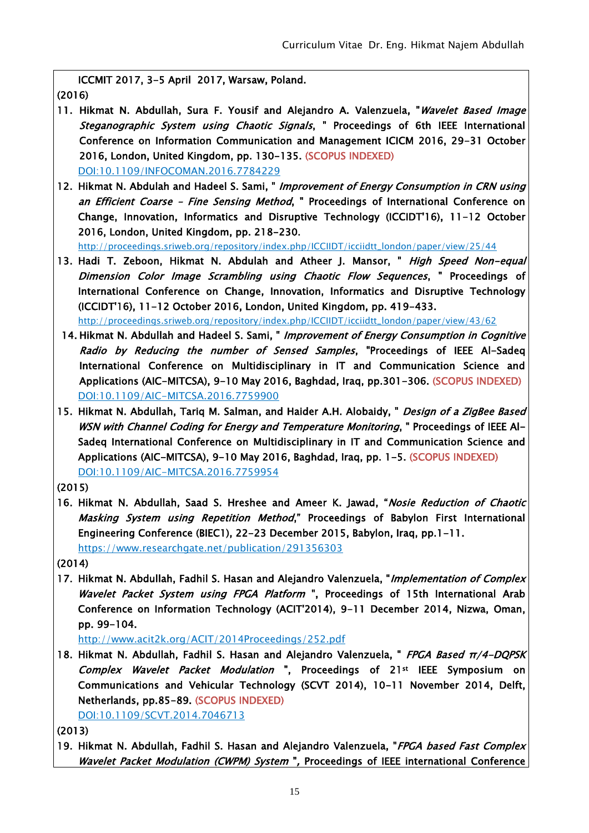ICCMIT 2017, 3-5 April 2017, Warsaw, Poland. (2016)

- 11. Hikmat N. Abdullah, Sura F. Yousif and Alejandro A. Valenzuela, "*Wavelet Based Image* Steganographic System using Chaotic Signals, " Proceedings of 6th IEEE International Conference on Information Communication and Management ICICM 2016, 29-31 October 2016, London, United Kingdom, pp. 130-135. (SCOPUS INDEXED) DOI[:10.1109/INFOCOMAN.2016.7784229](https://doi.org/10.1109/INFOCOMAN.2016.7784229)
- 12. Hikmat N. Abdulah and Hadeel S. Sami, " Improvement of Energy Consumption in CRN using an Efficient Coarse - Fine Sensing Method, " Proceedings of International Conference on Change, Innovation, Informatics and Disruptive Technology (ICCIDT'16), 11-12 October 2016, London, United Kingdom, pp. 218-230.

[http://proceedings.sriweb.org/repository/index.php/ICCIIDT/icciidtt\\_london/paper/view/25/44](http://proceedings.sriweb.org/repository/index.php/ICCIIDT/icciidtt_london/paper/view/25/44)

13. Hadi T. Zeboon, Hikmat N. Abdulah and Atheer J. Mansor, " High Speed Non-equal Dimension Color Image Scrambling using Chaotic Flow Sequences, " Proceedings of International Conference on Change, Innovation, Informatics and Disruptive Technology (ICCIDT'16), 11-12 October 2016, London, United Kingdom, pp. 419-433.

[http://proceedings.sriweb.org/repository/index.php/ICCIIDT/icciidtt\\_london/paper/view/43/62](http://proceedings.sriweb.org/repository/index.php/ICCIIDT/icciidtt_london/paper/view/43/62)

- 14. Hikmat N. Abdullah and Hadeel S. Sami, " Improvement of Energy Consumption in Cognitive Radio by Reducing the number of Sensed Samples, "Proceedings of IEEE Al-Sadeq International Conference on Multidisciplinary in IT and Communication Science and Applications (AIC-MITCSA), 9-10 May 2016, Baghdad, Iraq, pp.301-306. (SCOPUS INDEXED) DOI[:10.1109/AIC-MITCSA.2016.7759900](http://dx.doi.org/10.1109/AIC-MITCSA.2016.7759900)
- 15. Hikmat N. Abdullah, Tariq M. Salman, and Haider A.H. Alobaidy, " Design of a ZigBee Based WSN with Channel Coding for Energy and Temperature Monitoring, " Proceedings of IEEE Al-Sadeq International Conference on Multidisciplinary in IT and Communication Science and Applications (AIC-MITCSA), 9-10 May 2016, Baghdad, Iraq, pp. 1-5. (SCOPUS INDEXED) DOI[:10.1109/AIC-MITCSA.2016.7759954](http://dx.doi.org/10.1109/AIC-MITCSA.2016.7759954)

(2015)

16. Hikmat N. Abdullah, Saad S. Hreshee and Ameer K. Jawad, "Nosie Reduction of Chaotic Masking System using Repetition Method," Proceedings of Babylon First International Engineering Conference (BIEC1), 22-23 December 2015, Babylon, Iraq, pp.1-11. <https://www.researchgate.net/publication/291356303>

(2014)

17. Hikmat N. Abdullah, Fadhil S. Hasan and Alejandro Valenzuela, "Implementation of Complex Wavelet Packet System using FPGA Platform ", Proceedings of 15th International Arab Conference on Information Technology (ACIT'2014), 9-11 December 2014, Nizwa, Oman, pp. 99-104.

http://www.acit2k.org/ACIT/2014Proceedings/252.pdf

18. Hikmat N. Abdullah, Fadhil S. Hasan and Alejandro Valenzuela, " FPGA Based π/4-DQPSK Complex Wavelet Packet Modulation ", Proceedings of 21<sup>st</sup> IEEE Symposium on Communications and Vehicular Technology (SCVT 2014), 10-11 November 2014, Delft, Netherlands, pp.85-89. (SCOPUS INDEXED)

DOI[:10.1109/SCVT.2014.7046713](http://dx.doi.org/10.1109/SCVT.2014.7046713)

(2013)

19. Hikmat N. Abdullah, Fadhil S. Hasan and Alejandro Valenzuela, "FPGA based Fast Complex Wavelet Packet Modulation (CWPM) System ", Proceedings of IEEE international Conference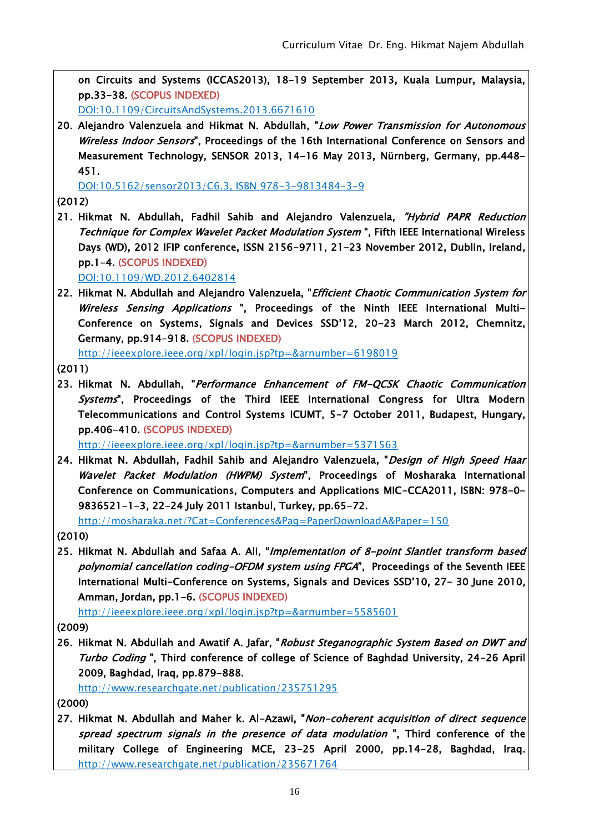on Circuits and Systems (ICCAS2013), 18-19 September 2013, Kuala Lumpur, Malaysia, pp.33-38. (SCOPUS INDEXED)

DOI[:10.1109/CircuitsAndSystems.2013.6671610](http://dx.doi.org.tiger.sempertool.dk/10.1109/CircuitsAndSystems.2013.6671610) 

20. Alejandro Valenzuela and Hikmat N. Abdullah, "Low Power Transmission for Autonomous Wireless Indoor Sensors", Proceedings of the 16th International Conference on Sensors and Measurement Technology, SENSOR 2013, 14-16 May 2013, Nürnberg, Germany, pp.448- 451.

DOI:10.5162/sensor2013/C6.3, ISBN 978-3-9813484-3-9

(2012)

21. Hikmat N. Abdullah, Fadhil Sahib and Alejandro Valenzuela, "Hybrid PAPR Reduction Technique for Complex Wavelet Packet Modulation System ", Fifth IEEE International Wireless Days (WD), 2012 IFIP conference, ISSN 2156-9711, 21-23 November 2012, Dublin, Ireland, pp.1-4. (SCOPUS INDEXED)

DOI[:10.1109/WD.2012.6402814](http://dx.doi.org/10.1109%2FWD.2012.6402814)

22. Hikmat N. Abdullah and Alejandro Valenzuela, "Efficient Chaotic Communication System for Wireless Sensing Applications ", Proceedings of the Ninth IEEE International Multi-Conference on Systems, Signals and Devices SSD'12, 20-23 March 2012, Chemnitz, Germany, pp.914-918. (SCOPUS INDEXED)

<http://ieeexplore.ieee.org/xpl/login.jsp?tp=&arnumber=6198019>

(2011)

23. Hikmat N. Abdullah, "Performance Enhancement of FM-QCSK Chaotic Communication Systems", Proceedings of the Third IEEE International Congress for Ultra Modern Telecommunications and Control Systems ICUMT, 5-7 October 2011, Budapest, Hungary, pp.406-410. (SCOPUS INDEXED)

http://ieeexplore.ieee.org/xpl/login.jsp?tp=&arnumber=5371563

24. Hikmat N. Abdullah, Fadhil Sahib and Alejandro Valenzuela, "Design of High Speed Haar Wavelet Packet Modulation (HWPM) System", Proceedings of Mosharaka International Conference on Communications, Computers and Applications MIC-CCA2011, ISBN: 978-0- 9836521-1-3, 22-24 July 2011 Istanbul, Turkey, pp.65-72.

<http://mosharaka.net/?Cat=Conferences&Pag=PaperDownloadA&Paper=150>

- (2010)
- 25. Hikmat N. Abdullah and Safaa A. Ali, "Implementation of 8-point Slantlet transform based polynomial cancellation coding-OFDM system using FPGA", Proceedings of the Seventh IEEE International Multi-Conference on Systems, Signals and Devices SSD'10, 27– 30 June 2010, Amman, Jordan, pp.1-6. (SCOPUS INDEXED)

<http://ieeexplore.ieee.org/xpl/login.jsp?tp=&arnumber=5585601>

(2009)

26. Hikmat N. Abdullah and Awatif A. Jafar, "Robust Steganographic System Based on DWT and Turbo Coding ", Third conference of college of Science of Baghdad University, 24-26 April 2009, Baghdad, Iraq, pp.879-888.

http://www.researchgate.net/publication/235751295

(2000)

27. Hikmat N. Abdullah and Maher k. Al-Azawi, "Non-coherent acquisition of direct sequence spread spectrum signals in the presence of data modulation", Third conference of the military College of Engineering MCE, 23-25 April 2000, pp.14-28, Baghdad, Iraq. <http://www.researchgate.net/publication/235671764>